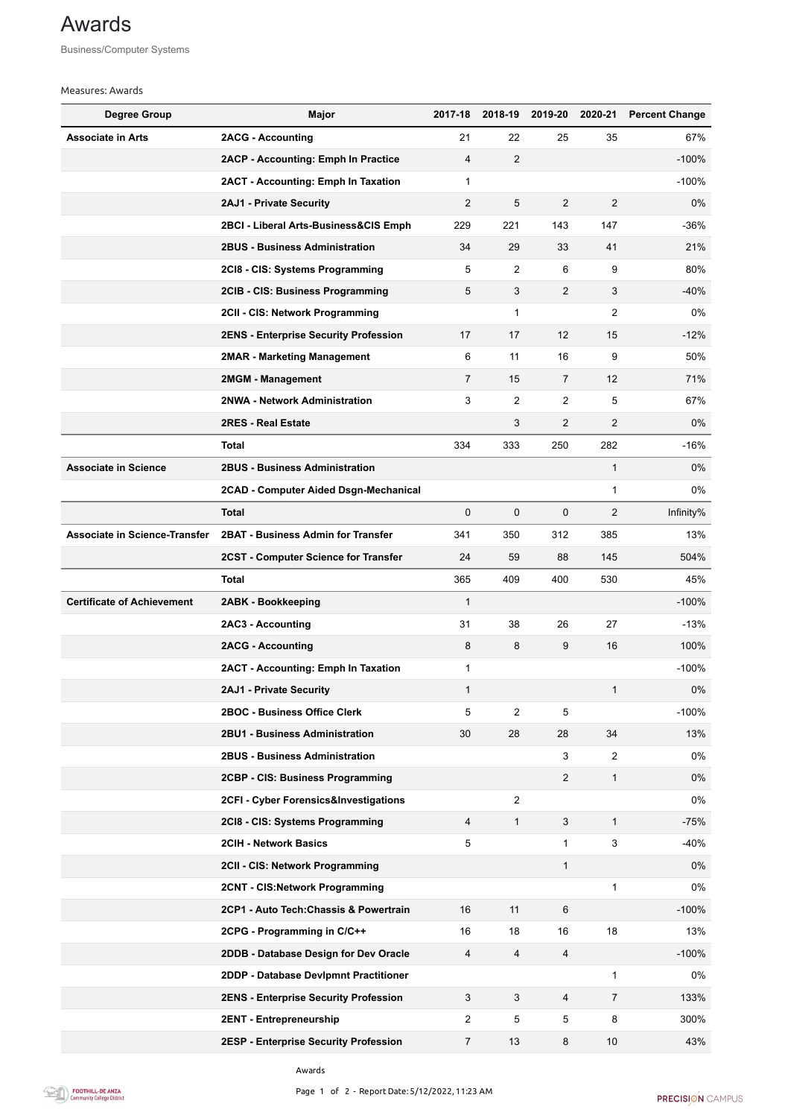Awards





## Awards

Business/Computer Systems

## Measures: Awards

| <b>Degree Group</b>                  | <b>Major</b>                                 | 2017-18         | 2018-19        | 2019-20        | 2020-21        | <b>Percent Change</b> |
|--------------------------------------|----------------------------------------------|-----------------|----------------|----------------|----------------|-----------------------|
| <b>Associate in Arts</b>             | <b>2ACG - Accounting</b>                     | 21              | 22             | 25             | 35             | 67%                   |
|                                      | <b>2ACP - Accounting: Emph In Practice</b>   | $\overline{4}$  | $\overline{2}$ |                |                | $-100%$               |
|                                      | <b>2ACT - Accounting: Emph In Taxation</b>   | 1               |                |                |                | $-100%$               |
|                                      | <b>2AJ1 - Private Security</b>               | $\overline{2}$  | 5              | $\overline{2}$ | $\overline{2}$ | $0\%$                 |
|                                      | 2BCI - Liberal Arts-Business&CIS Emph        | 229             | 221            | 143            | 147            | $-36%$                |
|                                      | <b>2BUS - Business Administration</b>        | 34              | 29             | 33             | 41             | 21%                   |
|                                      | 2CI8 - CIS: Systems Programming              | 5               | $\overline{2}$ | 6              | 9              | 80%                   |
|                                      | 2CIB - CIS: Business Programming             | $5\phantom{.0}$ | 3              | $\overline{2}$ | 3              | $-40%$                |
|                                      | 2CII - CIS: Network Programming              |                 | 1              |                | 2              | $0\%$                 |
|                                      | <b>2ENS - Enterprise Security Profession</b> | 17              | 17             | 12             | 15             | $-12%$                |
|                                      | <b>2MAR - Marketing Management</b>           | 6               | 11             | 16             | 9              | 50%                   |
|                                      | 2MGM - Management                            | $\overline{7}$  | 15             | $\overline{7}$ | 12             | 71%                   |
|                                      | 2NWA - Network Administration                | 3               | $\overline{2}$ | $\overline{2}$ | 5              | 67%                   |
|                                      | <b>2RES - Real Estate</b>                    |                 | 3              | $\overline{2}$ | $\overline{2}$ | $0\%$                 |
|                                      | <b>Total</b>                                 | 334             | 333            | 250            | 282            | $-16%$                |
| <b>Associate in Science</b>          | <b>2BUS - Business Administration</b>        |                 |                |                | 1              | $0\%$                 |
|                                      | 2CAD - Computer Aided Dsgn-Mechanical        |                 |                |                | 1              | 0%                    |
|                                      | <b>Total</b>                                 | $\overline{0}$  | $\mathbf 0$    | $\mathbf 0$    | $\overline{2}$ | Infinity%             |
| <b>Associate in Science-Transfer</b> | <b>2BAT - Business Admin for Transfer</b>    | 341             | 350            | 312            | 385            | 13%                   |
|                                      | <b>2CST - Computer Science for Transfer</b>  | 24              | 59             | 88             | 145            | 504%                  |
|                                      | <b>Total</b>                                 | 365             | 409            | 400            | 530            | 45%                   |
| <b>Certificate of Achievement</b>    | 2ABK - Bookkeeping                           | 1               |                |                |                | $-100%$               |
|                                      | <b>2AC3 - Accounting</b>                     | 31              | 38             | 26             | 27             | $-13%$                |
|                                      | <b>2ACG - Accounting</b>                     | 8               | 8              | 9              | 16             | 100%                  |
|                                      | 2ACT - Accounting: Emph In Taxation          | 1               |                |                |                | $-100%$               |
|                                      | <b>2AJ1 - Private Security</b>               | 1               |                |                | 1              | $0\%$                 |
|                                      | <b>2BOC - Business Office Clerk</b>          | 5               | $\overline{2}$ | 5              |                | $-100%$               |
|                                      | <b>2BU1 - Business Administration</b>        | 30              | 28             | 28             | 34             | 13%                   |
|                                      | <b>2BUS - Business Administration</b>        |                 |                | 3              | $\overline{2}$ | $0\%$                 |
|                                      | 2CBP - CIS: Business Programming             |                 |                | $\overline{2}$ | 1              | $0\%$                 |
|                                      | 2CFI - Cyber Forensics&Investigations        |                 | $\overline{2}$ |                |                | 0%                    |
|                                      | 2CI8 - CIS: Systems Programming              | 4               | $\mathbf 1$    | 3              | $\mathbf{1}$   | $-75%$                |
|                                      | <b>2CIH - Network Basics</b>                 | 5               |                |                | 3              | $-40%$                |
|                                      | 2CII - CIS: Network Programming              |                 |                | 1              |                | $0\%$                 |
|                                      | 2CNT - CIS: Network Programming              |                 |                |                | 1              | 0%                    |
|                                      | 2CP1 - Auto Tech: Chassis & Powertrain       | 16              | 11             | 6              |                | $-100%$               |
|                                      | 2CPG - Programming in C/C++                  | 16              | 18             | 16             | 18             | 13%                   |
|                                      | 2DDB - Database Design for Dev Oracle        | 4               | 4              | 4              |                | $-100%$               |
|                                      | 2DDP - Database Devlpmnt Practitioner        |                 |                |                | 1              | 0%                    |
|                                      | <b>2ENS - Enterprise Security Profession</b> | $\mathbf{3}$    | 3              | 4              | $\overline{7}$ | 133%                  |
|                                      | 2ENT - Entrepreneurship                      | $\overline{2}$  | 5              | 5              | 8              | 300%                  |
|                                      | <b>2ESP - Enterprise Security Profession</b> | $\overline{7}$  | 13             | 8              | 10             | 43%                   |